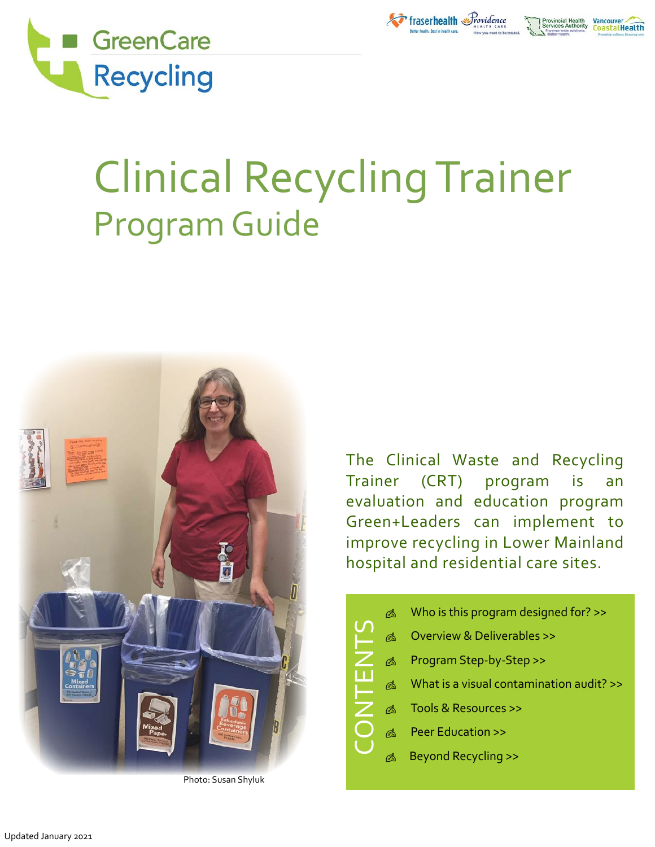

# Clinical Recycling Trainer Program Guide



Photo: Susan Shyluk

The Clinical Waste and Recycling Trainer (CRT) program is an evaluation and education program Green+Leaders can implement to improve recycling in Lower Mainland hospital and residential care sites.

Fraserhealth Providence

nastalHealth

| ⋒  | Who is this program designed for? >>     |  |  |  |  |  |  |  |
|----|------------------------------------------|--|--|--|--|--|--|--|
| ⋒  | Overview & Deliverables >>               |  |  |  |  |  |  |  |
| ⋒  | Program Step-by-Step >>                  |  |  |  |  |  |  |  |
| Ø  | What is a visual contamination audit? >> |  |  |  |  |  |  |  |
| 碣  | Tools & Resources >>                     |  |  |  |  |  |  |  |
| അ് | <b>Peer Education &gt;&gt;</b>           |  |  |  |  |  |  |  |
| ⋒  | <b>Beyond Recycling &gt;&gt;</b>         |  |  |  |  |  |  |  |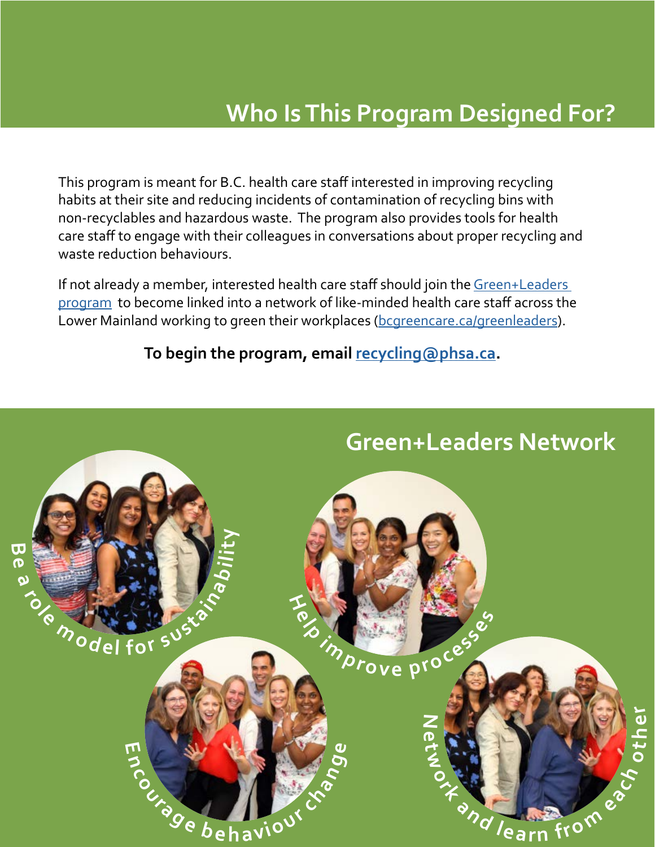### **Who Is This Program Designed For?**

<span id="page-1-0"></span>This program is meant for B.C. health care staff interested in improving recycling habits at their site and reducing incidents of contamination of recycling bins with non-recyclables and hazardous waste. The program also provides tools for health care staff to engage with their colleagues in conversations about proper recycling and waste reduction behaviours.

If not already a member, interested health care staff should join the Green+Leaders [program](https://bcgreencare.ca/program/greenleaders) to become linked into a network of like-minded health care staff across the Lower Mainland working to green their workplaces ([bcgreencare.ca/greenleaders](http://bcgreencare.ca/greenleaders)).

**To begin the program, email [recycling@phsa.ca.](mailto:recycling%40phsa.ca?subject=Clinical%20Recycling%20Trainer%20program)**

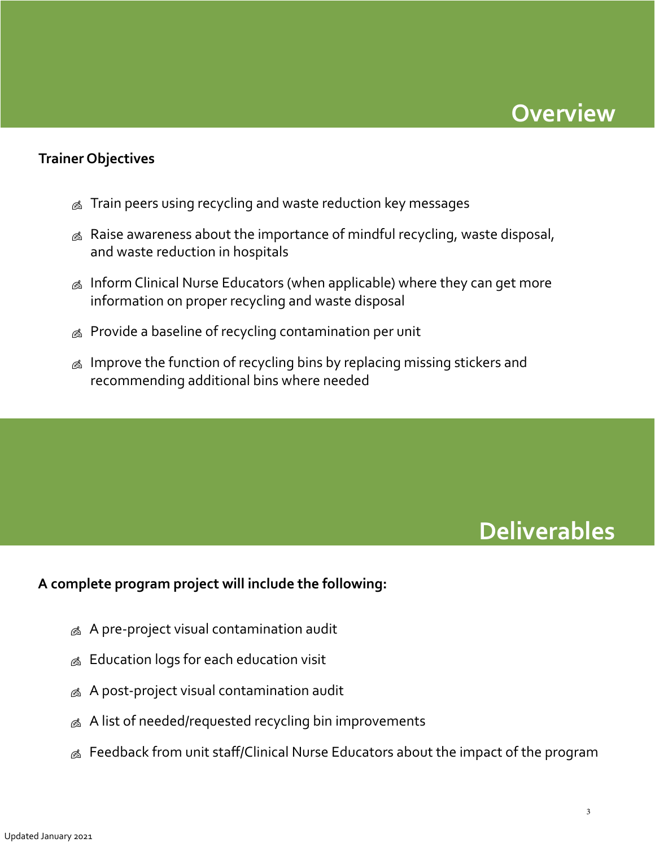

#### <span id="page-2-0"></span>**Trainer Objectives**

- $\&$  Train peers using recycling and waste reduction key messages
- $\triangle$  Raise awareness about the importance of mindful recycling, waste disposal, and waste reduction in hospitals
- $\&$  Inform Clinical Nurse Educators (when applicable) where they can get more information on proper recycling and waste disposal
- $\triangle$  Provide a baseline of recycling contamination per unit
- $\&$  Improve the function of recycling bins by replacing missing stickers and recommending additional bins where needed

### **Deliverables**

#### **A complete program project will include the following:**

- $\&$  A pre-project visual contamination audit
- $\&$  Education logs for each education visit
- $\&$  A post-project visual contamination audit
- $\&$  A list of needed/requested recycling bin improvements
- **A** Feedback from unit staff/Clinical Nurse Educators about the impact of the program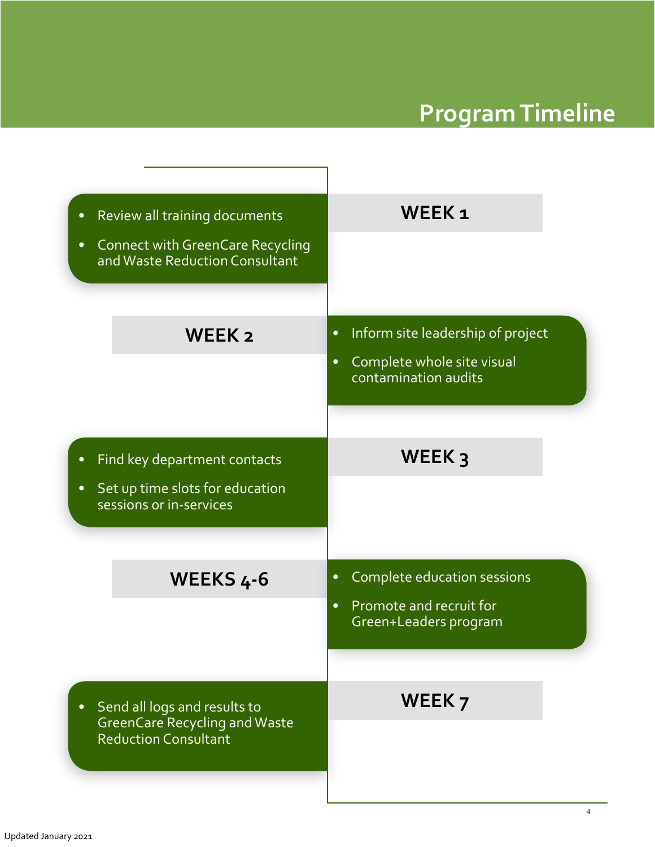# **Program Timeline**

| Review all training documents<br>$\bullet$<br><b>Connect with GreenCare Recycling</b><br>$\bullet$ | WEEK <sub>1</sub>                                                                         |  |  |  |  |  |  |  |
|----------------------------------------------------------------------------------------------------|-------------------------------------------------------------------------------------------|--|--|--|--|--|--|--|
| and Waste Reduction Consultant                                                                     |                                                                                           |  |  |  |  |  |  |  |
|                                                                                                    |                                                                                           |  |  |  |  |  |  |  |
| WEEK <sub>2</sub>                                                                                  | Inform site leadership of project<br>$\bullet$<br>Complete whole site visual<br>$\bullet$ |  |  |  |  |  |  |  |
|                                                                                                    | contamination audits                                                                      |  |  |  |  |  |  |  |
|                                                                                                    |                                                                                           |  |  |  |  |  |  |  |
| Find key department contacts<br>$\bullet$                                                          | WEEK $3$                                                                                  |  |  |  |  |  |  |  |
| Set up time slots for education<br>$\bullet$<br>sessions or in-services                            |                                                                                           |  |  |  |  |  |  |  |
| WEEKS 4-6                                                                                          | Complete education sessions<br>$\bullet$                                                  |  |  |  |  |  |  |  |
|                                                                                                    | Promote and recruit for<br>$\bullet$<br>Green+Leaders program                             |  |  |  |  |  |  |  |
|                                                                                                    |                                                                                           |  |  |  |  |  |  |  |
| Send all logs and results to<br>$\bullet$                                                          | WEEK <sub>7</sub>                                                                         |  |  |  |  |  |  |  |
| <b>Reduction Consultant</b>                                                                        |                                                                                           |  |  |  |  |  |  |  |
| <b>GreenCare Recycling and Waste</b>                                                               |                                                                                           |  |  |  |  |  |  |  |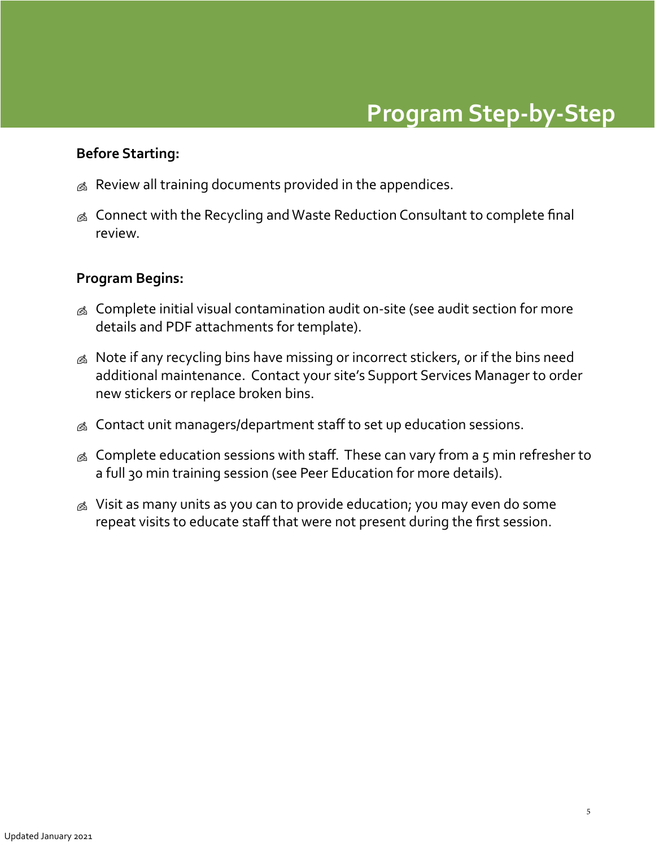#### <span id="page-4-0"></span>**Before Starting:**

- $\&$  Review all training documents provided in the appendices.
- 6 Connect with the Recycling and Waste Reduction Consultant to complete final review.

#### **Program Begins:**

- **EX** Complete initial visual contamination audit on-site (see audit section for more details and PDF attachments for template).
- $\&$  Note if any recycling bins have missing or incorrect stickers, or if the bins need additional maintenance. Contact your site's Support Services Manager to order new stickers or replace broken bins.
- $\&$  Contact unit managers/department staff to set up education sessions.
- $\&$  Complete education sessions with staff. These can vary from a 5 min refresher to a full 30 min training session (see Peer Education for more details).
- $\&$  Visit as many units as you can to provide education; you may even do some repeat visits to educate staff that were not present during the first session.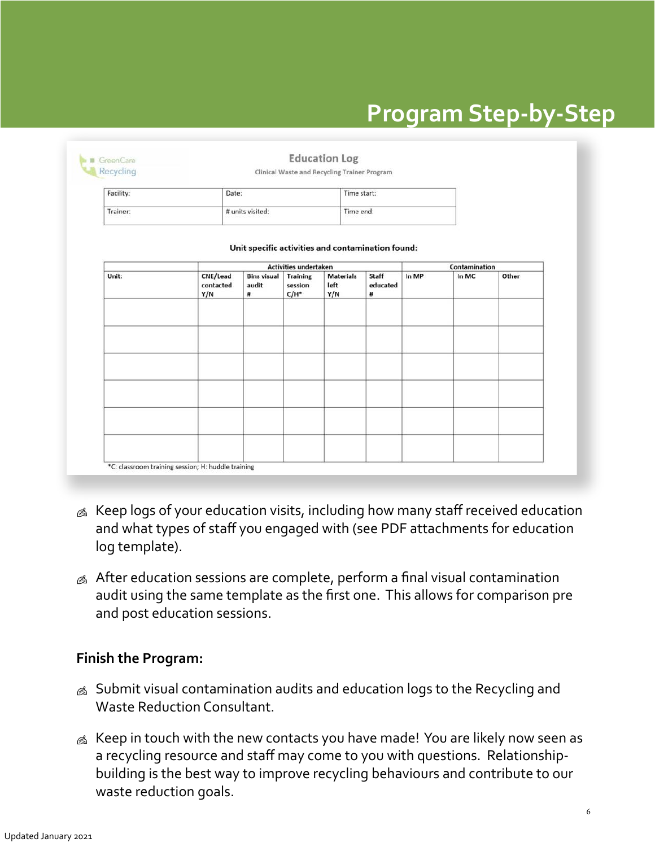## **Program Step-by-Step**

| Facility: | Date:                        |                                                   |                                                                       | Time start:                     |                        |       |                        |       |
|-----------|------------------------------|---------------------------------------------------|-----------------------------------------------------------------------|---------------------------------|------------------------|-------|------------------------|-------|
| Trainer:  |                              | # units visited:                                  |                                                                       | Time end:                       |                        |       |                        |       |
|           |                              | Unit specific activities and contamination found: |                                                                       |                                 |                        |       |                        |       |
| Unit:     | CNE/Lead<br>contacted<br>Y/N | <b>Bins visual</b><br>audit<br>#                  | <b>Activities undertaken</b><br><b>Training</b><br>session<br>$C/H^*$ | <b>Materials</b><br>left<br>Y/N | Staff<br>educated<br># | In MP | Contamination<br>In MC | Other |
|           |                              |                                                   |                                                                       |                                 |                        |       |                        |       |
|           |                              |                                                   |                                                                       |                                 |                        |       |                        |       |
|           |                              |                                                   |                                                                       |                                 |                        |       |                        |       |
|           |                              |                                                   |                                                                       |                                 |                        |       |                        |       |

- & Keep logs of your education visits, including how many staff received education and what types of staff you engaged with (see PDF attachments for education log template).
- $\&$  After education sessions are complete, perform a final visual contamination audit using the same template as the first one. This allows for comparison pre and post education sessions.

#### **Finish the Program:**

- & Submit visual contamination audits and education logs to the Recycling and Waste Reduction Consultant.
- $\&$  Keep in touch with the new contacts you have made! You are likely now seen as a recycling resource and staff may come to you with questions. Relationshipbuilding is the best way to improve recycling behaviours and contribute to our waste reduction goals.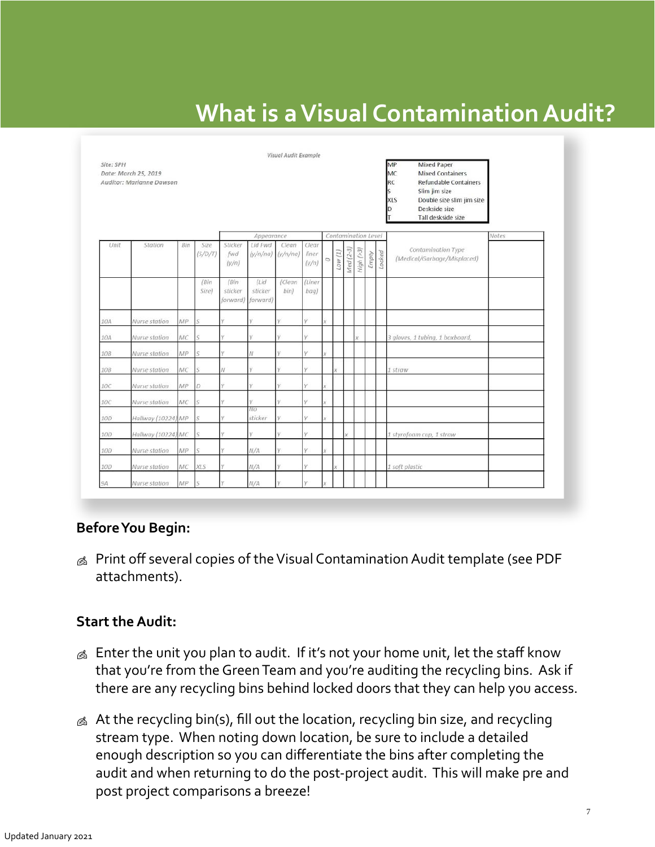# **What is a Visual Contamination Audit?**

<span id="page-6-0"></span>

| Site: SPH | Visual Audit Example<br>MP<br><b>Mixed Paper</b><br>MC<br>Date: March 25, 2019<br><b>Mixed Containers</b><br>RC<br>Refundable Containers<br>Auditor: Marianne Dawson<br>Slim jim size<br>Ś.<br>Double size slim jim size<br><b>XLS</b><br>Deskside size<br>D<br>Tall deskside size |     |                 |                             |                             |                   |                         |   |        |                     |           |       |        |                                                   |        |
|-----------|------------------------------------------------------------------------------------------------------------------------------------------------------------------------------------------------------------------------------------------------------------------------------------|-----|-----------------|-----------------------------|-----------------------------|-------------------|-------------------------|---|--------|---------------------|-----------|-------|--------|---------------------------------------------------|--------|
|           |                                                                                                                                                                                                                                                                                    |     |                 |                             | Appearance                  |                   |                         |   |        | Contamination Level |           |       |        |                                                   | Notes. |
| Unit      | Station                                                                                                                                                                                                                                                                            | Bin | Size<br>(S/D/T) | Sticker<br>fwd<br>(y/n)     | Lid Fwd<br>(y/n/na)         | Clean<br>(y/n/na) | Clear<br>liner<br>(y/n) | O | Low(1) | $Med(2-3)$          | High (>3) | Empty | Locked | Contamination Type<br>(Medical/Garbage/Misplaced) |        |
|           |                                                                                                                                                                                                                                                                                    |     | (Bin<br>Size)   | (Bin<br>sticker<br>forward) | (Lid<br>sticker<br>forward) | (Clean<br>bin)    | (Liner<br>baq)          |   |        |                     |           |       |        |                                                   |        |
| 10A       | Nurse station                                                                                                                                                                                                                                                                      | MP  | S               | v                           | Ÿ                           |                   |                         |   |        |                     |           |       |        |                                                   |        |
| 10A       | Nurse station                                                                                                                                                                                                                                                                      | MC  | s               | Y.                          | Ÿ                           |                   | v                       |   |        |                     |           |       |        | 3 gloves, 1 tubing, 1 boxboard,                   |        |
| 10B       | Nurse station                                                                                                                                                                                                                                                                      | MP  | S               | ÿ.                          | N                           | V.                | v                       |   |        |                     |           |       |        |                                                   |        |
| 10B       | Nurse station                                                                                                                                                                                                                                                                      | MC  | S               | Ν                           | Ϋ                           |                   | v.                      |   | x      |                     |           |       |        | 1 straw                                           |        |
| 10C       | Nurse station                                                                                                                                                                                                                                                                      | MP  | $\mathcal{D}$   | v.                          | Ÿ.                          | V.                | v.                      |   |        |                     |           |       |        |                                                   |        |
| 10C       | Nurse station                                                                                                                                                                                                                                                                      | MC  | R               | v                           | Ý                           |                   |                         |   |        |                     |           |       |        |                                                   |        |
| 10D       | Hallway (10224) MP                                                                                                                                                                                                                                                                 |     | c               | v                           | No.<br>sticker              | V.                | v                       |   |        |                     |           |       |        |                                                   |        |
| 100       | Hallway (10224) MC                                                                                                                                                                                                                                                                 |     | ς               | v                           | Y                           |                   | v                       |   |        | v                   |           |       |        | 1 styrofoam cup, 1 straw                          |        |
| 10D       | Nurse station                                                                                                                                                                                                                                                                      | MP  | s               | v                           | N/A                         |                   | v                       |   |        |                     |           |       |        |                                                   |        |
| 10D       | Nurse station                                                                                                                                                                                                                                                                      | MC  | XLS             |                             | N/A                         |                   |                         |   |        |                     |           |       |        | 1 soft plastic                                    |        |
| 9Α        | Nurse station                                                                                                                                                                                                                                                                      | MP  | S               | v                           | N/A                         |                   | v                       |   |        |                     |           |       |        |                                                   |        |

#### **Before You Begin:**

**A** Print off several copies of the Visual Contamination Audit template (see PDF attachments).

#### **Start the Audit:**

- $\&$  Enter the unit you plan to audit. If it's not your home unit, let the staff know that you're from the Green Team and you're auditing the recycling bins. Ask if there are any recycling bins behind locked doors that they can help you access.
- $\&$  At the recycling bin(s), fill out the location, recycling bin size, and recycling stream type. When noting down location, be sure to include a detailed enough description so you can differentiate the bins after completing the audit and when returning to do the post-project audit. This will make pre and post project comparisons a breeze!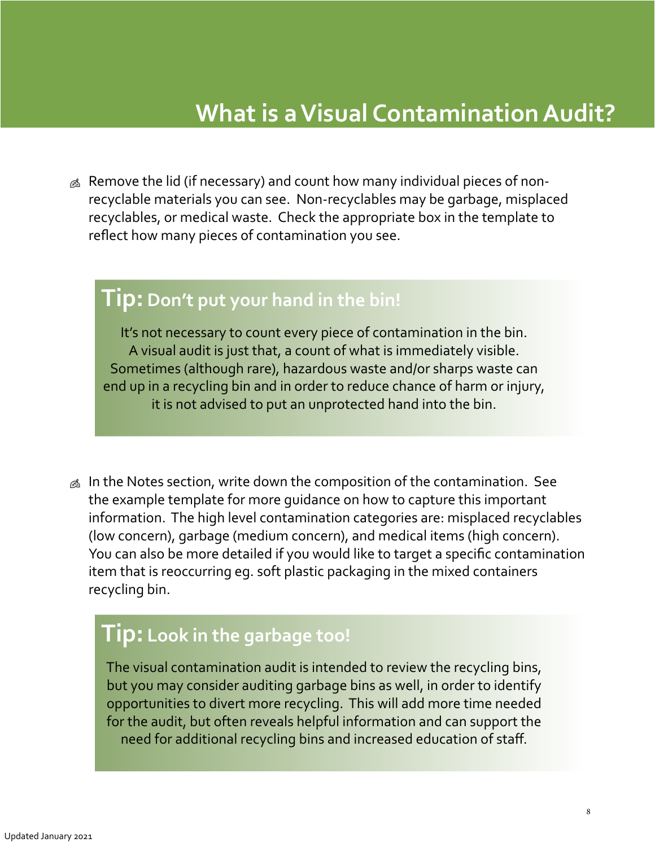### **What is a Visual Contamination Audit?**

 $\otimes$  Remove the lid (if necessary) and count how many individual pieces of nonrecyclable materials you can see. Non-recyclables may be garbage, misplaced recyclables, or medical waste. Check the appropriate box in the template to reflect how many pieces of contamination you see.

#### **Tip:Don't put your hand in the bin!**

It's not necessary to count every piece of contamination in the bin. A visual audit is just that, a count of what is immediately visible. Sometimes (although rare), hazardous waste and/or sharps waste can end up in a recycling bin and in order to reduce chance of harm or injury, it is not advised to put an unprotected hand into the bin.

 $\&$  In the Notes section, write down the composition of the contamination. See the example template for more guidance on how to capture this important information. The high level contamination categories are: misplaced recyclables (low concern), garbage (medium concern), and medical items (high concern). You can also be more detailed if you would like to target a specific contamination item that is reoccurring eg. soft plastic packaging in the mixed containers recycling bin.

### **Tip: Look in the garbage too!**

The visual contamination audit is intended to review the recycling bins, but you may consider auditing garbage bins as well, in order to identify opportunities to divert more recycling. This will add more time needed for the audit, but often reveals helpful information and can support the need for additional recycling bins and increased education of staff.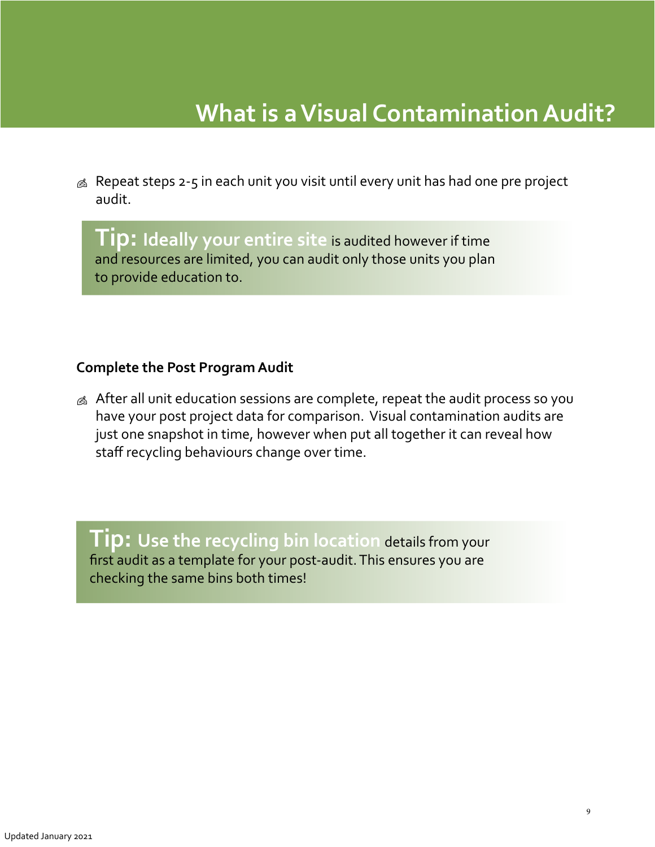### **What is a Visual Contamination Audit?**

 $\&$  Repeat steps 2-5 in each unit you visit until every unit has had one pre project audit.

**Tip: Ideally your entire site** is audited however if time and resources are limited, you can audit only those units you plan to provide education to.

#### **Complete the Post Program Audit**

 $\&$  After all unit education sessions are complete, repeat the audit process so you have your post project data for comparison. Visual contamination audits are just one snapshot in time, however when put all together it can reveal how staff recycling behaviours change over time.

**Tip: Use the recycling bin location** details from your first audit as a template for your post-audit. This ensures you are checking the same bins both times!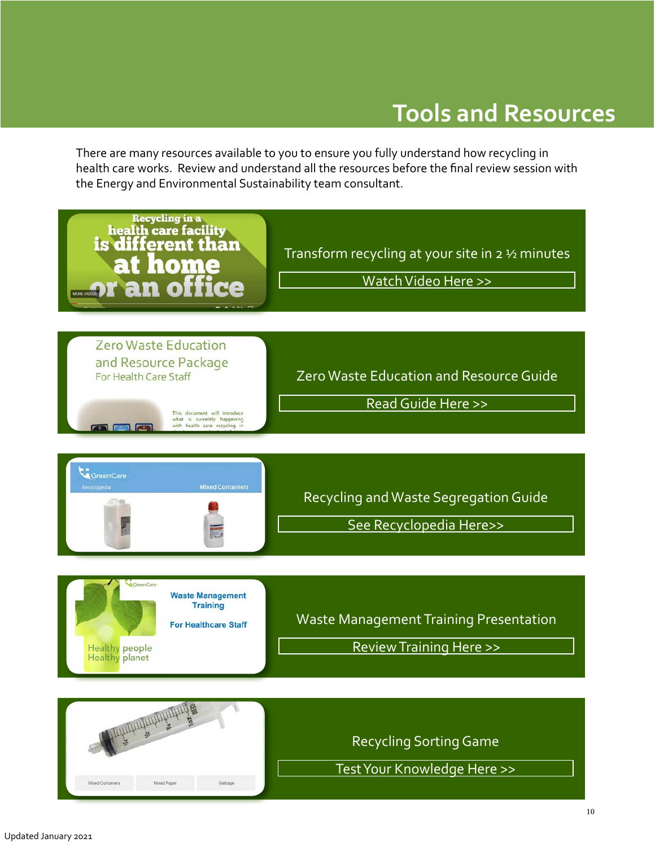### **Tools and Resources**

<span id="page-9-0"></span>There are many resources available to you to ensure you fully understand how recycling in health care works. Review and understand all the resources before the final review session with the Energy and Environmental Sustainability team consultant.





Recycling Sorting Game

[Test Your Knowledge Here >>](https://bcgreencare.ca/program/greenleaders)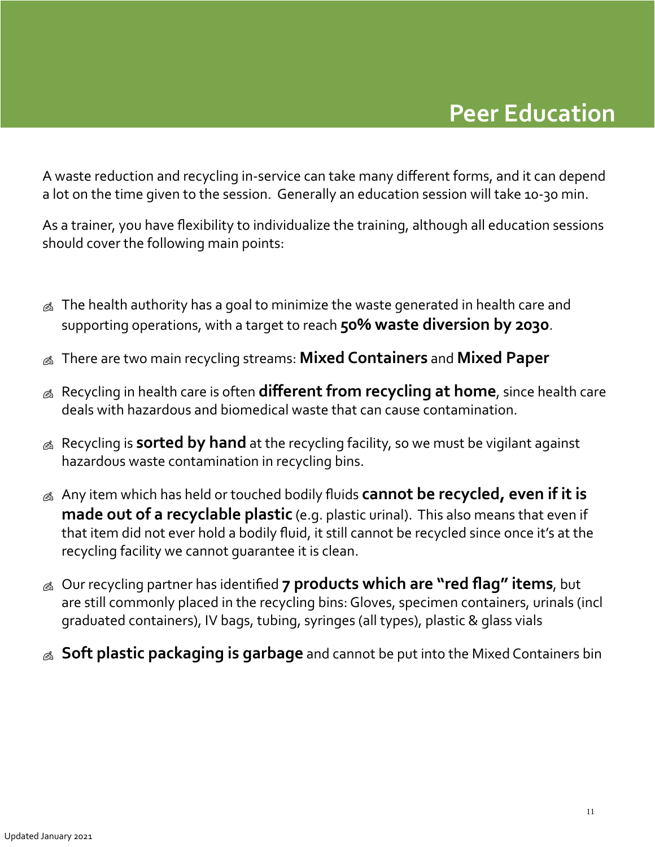### **Peer Education**

<span id="page-10-0"></span>A waste reduction and recycling in-service can take many different forms, and it can depend a lot on the time given to the session. Generally an education session will take 10-30 min.

As a trainer, you have flexibility to individualize the training, although all education sessions should cover the following main points:

- $\&$  The health authority has a goal to minimize the waste generated in health care and supporting operations, with a target to reach **50% waste diversion by 2030**.
- There are two main recycling streams: **Mixed Containers** and **Mixed Paper**
- Recycling in health care is often **different from recycling at home**, since health care deals with hazardous and biomedical waste that can cause contamination.
- Recycling is **sorted by hand** at the recycling facility, so we must be vigilant against hazardous waste contamination in recycling bins.
- Any item which has held or touched bodily fluids **cannot be recycled, even if it is made out of a recyclable plastic** (e.g. plastic urinal). This also means that even if that item did not ever hold a bodily fluid, it still cannot be recycled since once it's at the recycling facility we cannot guarantee it is clean.
- Our recycling partner has identified **7 products which are "red flag" items**, but are still commonly placed in the recycling bins: Gloves, specimen containers, urinals (incl graduated containers), IV bags, tubing, syringes (all types), plastic & glass vials
- **Soft plastic packaging is garbage** and cannot be put into the Mixed Containers bin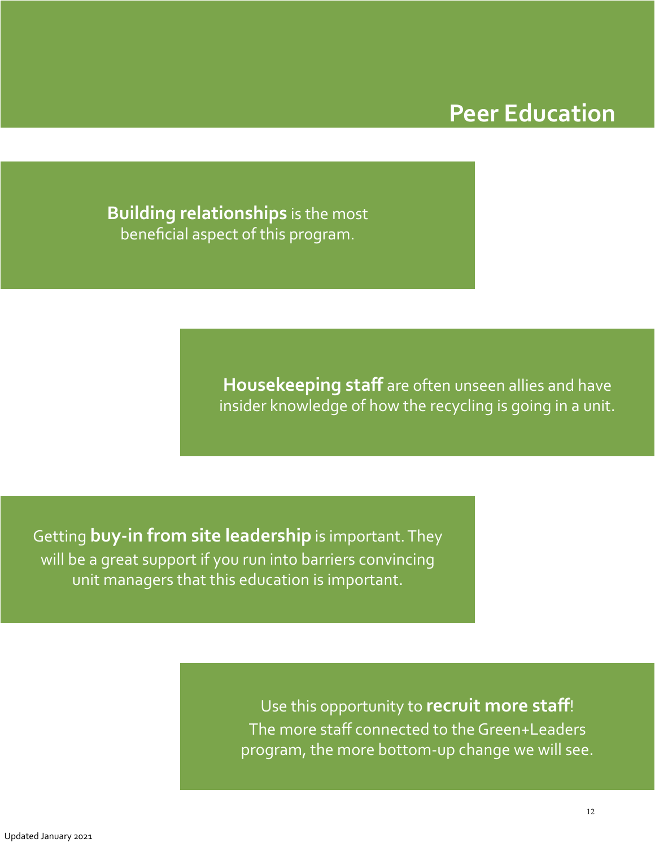### **Peer Education**

**Building relationships** is the most beneficial aspect of this program.

> **Housekeeping staff** are often unseen allies and have insider knowledge of how the recycling is going in a unit.

Getting **buy-in from site leadership** is important. They will be a great support if you run into barriers convincing unit managers that this education is important.

> Use this opportunity to **recruit more staff**! The more staff connected to the Green+Leaders program, the more bottom-up change we will see.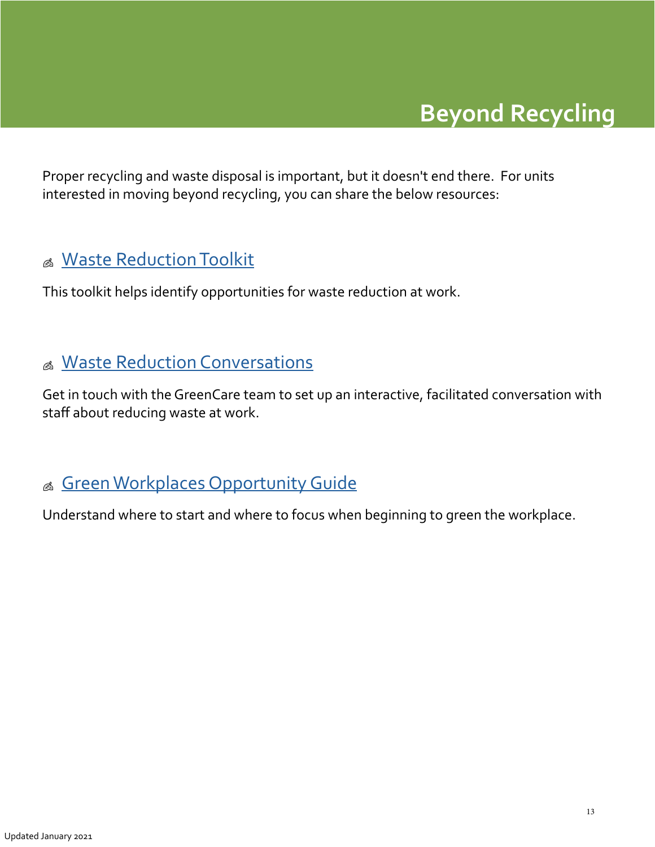# **Beyond Recycling**

<span id="page-12-0"></span>Proper recycling and waste disposal is important, but it doesn't end there. For units interested in moving beyond recycling, you can share the below resources:

#### & [Waste Reduction Toolkit](https://bcgreencare.ca/resource/waste-reduction-toolkit-going-beyond-recycling)

This toolkit helps identify opportunities for waste reduction at work.

#### & [Waste Reduction Conversations](mailto:recycling%40phsa.ca?subject=I%27m%20interested%20in%20setting%20up%20a%20Waste%20Reduction%20Conversation%20in%20my%20unit)

Get in touch with the GreenCare team to set up an interactive, facilitated conversation with staff about reducing waste at work.

#### & [Green Workplaces Opportunity Guide](https://bcgreencare.ca/resource/green-workplaces-opportunity-guide)

Understand where to start and where to focus when beginning to green the workplace.